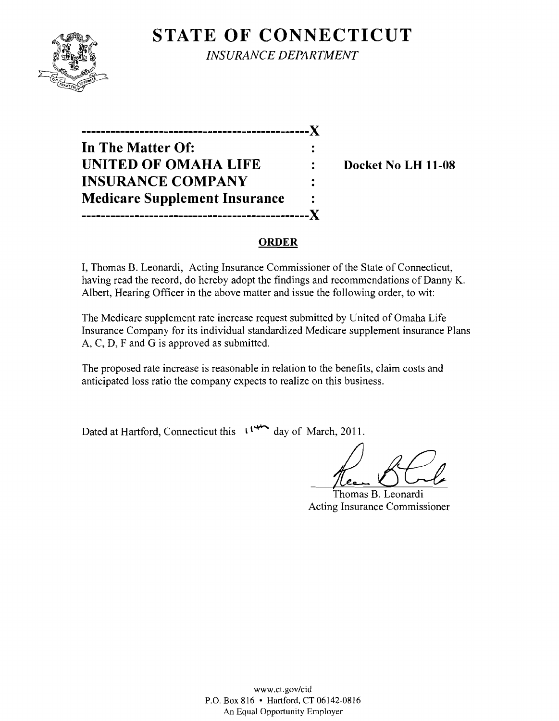# **STATE OF CONNECTICUT**



*INSURANCE DEPARTMENT* 

**-----------------------------------------------)( In The Matter Of: UNITED OF OMAHA LIFE : Docket No LH 11-08 INSURANCE COMPANY Medicare Supplement Insurance** -----------Y

#### **ORDER**

I, Thomas B. Leonardi, Acting Insurance Commissioner of the State of Connecticut, having read the record, do hereby adopt the findings and recommendations of Danny K. Albert, Hearing Officer in the above matter and issue the following order, to wit:

The Medicare supplement rate increase request submitted by United of Omaha Life Insurance Company for its individual standardized Medicare supplement insurance Plans A, C, D, F and G is approved as submitted.

The proposed rate increase is reasonable in relation to the benefits, claim costs and anticipated loss ratio the company expects to realize on this business.

Dated at Hartford, Connecticut this  $\left\{\right.^{\prime\prime\prime\prime\prime\prime}$  day of March, 2011.

*Li!£t* Thomas B. Leonardi

Acting Insurance Commissioner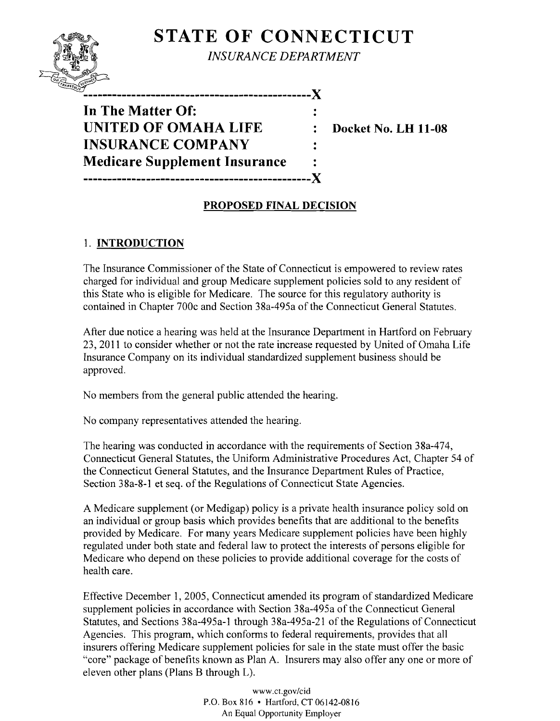# **STATE OF CONNECTICUT**



*INSURANCE DEPARTMENT* 

*11(/,.* **X** 

**In The Matter Of: UNITED OF OMAHA LIFE : Docket No. LH 11-08 INSURANCE COMPANY Medicare Supplement Insurance -----------------------------------------------X** 

## **PROPOSED FINAL DECISION**

 $\ddot{\cdot}$  $\ddot{\cdot}$ 

### 1. **INTRODUCTION**

The Insurance Commissioner of the State of Connecticut is empowered to review rates charged for individual and group Medicare supplement policies sold to any resident of this State who is eligible for Medicare. The source for this regulatory authority is contained in Chapter 700c and Section 38a-495a of the Connecticut General Statutes.

After due notice a hearing was held at the Insurance Department in Hartford on February 23, 2011 to consider whether or not the rate increase requested by United of Omaha Life Insurance Company on its individual standardized supplement business should be approved.

No members from the general public attended the hearing.

No company representatives attended the hearing.

The hearing was conducted in accordance with the requirements of Section 38a-474, Connecticut General Statutes, the Uniform Administrative Procedures Act, Chapter 54 of the Connecticut General Statutes, and the Insurance Department Rules of Practice, Section 38a-8-1 et seq. of the Regulations of Connecticut State Agencies.

A Medicare supplement (or Medigap) policy is a private health insurance policy sold on an individual or group basis which provides benefits that are additional to the benefits provided by Medicare. For many years Medicare supplement policies have been highly regulated under both state and federal law to protect the interests of persons eligible for Medicare who depend on these policies to provide additional coverage for the costs of health care.

Effective December 1, 2005, Connecticut amended its program of standardized Medicare supplement policies in accordance with Section 38a-495a of the Connecticut General Statutes, and Sections 38a-495a-l through 38a-495a-21 of the Regulations of Connecticut Agencies. This program, which conforms to federal requirements, provides that all insurers offering Medicare supplement policies for sale in the state must offer the basic "core" package of benefits known as Plan A. Insurers may also offer anyone or more of eleven other plans (Plans B through L).

> www.ct.gov/cid P.O. Box 816 • Hartford, CT 06142-0816 An Equal Opportunity Employer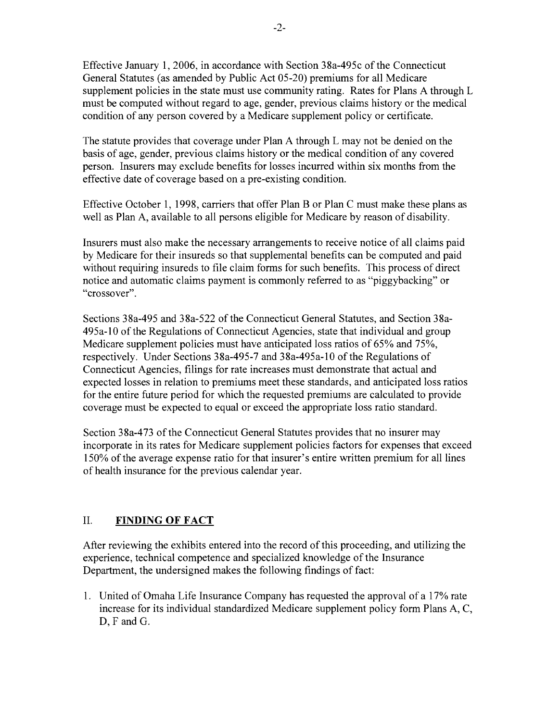Effective January 1, 2006, in accordance with Section 38a-495c of the Connecticut General Statutes (as amended by Public Act 05-20) premiums for all Medicare supplement policies in the state must use community rating. Rates for Plans A through L must be computed without regard to age, gender, previous claims history or the medical condition of any person covered by a Medicare supplement policy or certificate.

The statute provides that coverage under Plan A through L may not be denied on the basis of age, gender, previous claims history or the medical condition of any covered person. Insurers may exclude benefits for losses incurred within six months from the effective date of coverage based on a pre-existing condition.

Effective October 1, 1998, carriers that offer Plan B or Plan C must make these plans as well as Plan A, available to all persons eligible for Medicare by reason of disability.

Insurers must also make the necessary arrangements to receive notice of all claims paid by Medicare for their insureds so that supplemental benefits can be computed and paid without requiring insureds to file claim forms for such benefits. This process of direct notice and automatic claims payment is commonly referred to as "piggybacking" or "crossover".

Sections 38a-495 and 38a-522 of the Connecticut General Statutes, and Section 38a-495a-10 ofthe Regulations of Connecticut Agencies, state that individual and group Medicare supplement policies must have anticipated loss ratios of 65% and 75%, respectively. Under Sections 38a-495-7 and 38a-495a-10 of the Regulations of Connecticut Agencies, filings for rate increases must demonstrate that actual and expected losses in relation to premiums meet these standards, and anticipated loss ratios for the entire future period for which the requested premiums are calculated to provide coverage must be expected to equal or exceed the appropriate loss ratio standard.

Section 38a-473 of the Connecticut General Statutes provides that no insurer may incorporate in its rates for Medicare supplement policies factors for expenses that exceed 150% of the average expense ratio for that insurer's entire written premium for all lines of health insurance for the previous calendar year.

### II. **FINDING OF FACT**

After reviewing the exhibits entered into the record ofthis proceeding, and utilizing the experience, technical competence and specialized knowledge of the Insurance Department, the undersigned makes the following findings of fact:

1. United of Omaha Life Insurance Company has requested the approval of a 17% rate increase for its individual standardized Medicare supplement policy form Plans A, C, D, F and G.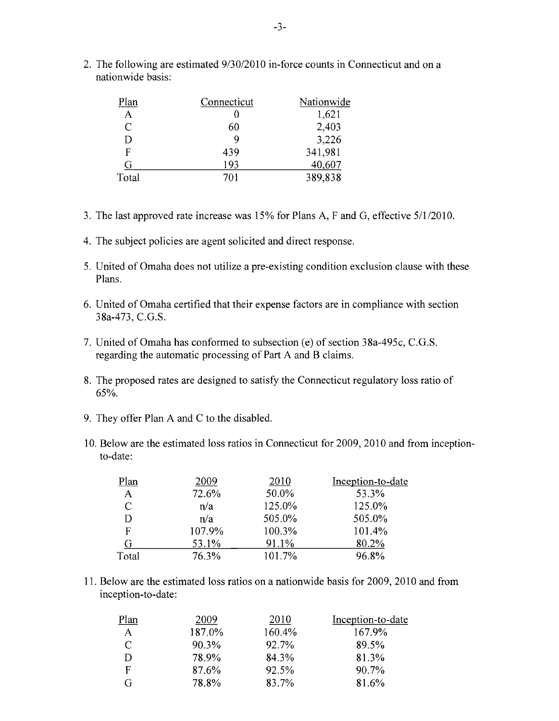2. The following are estimated  $9/30/2010$  in-force counts in Connecticut and on a nationwide basis:

| 'lan  | Connecticut | Nationwide |
|-------|-------------|------------|
| A     |             | 1,621      |
| C     | 60          | 2,403      |
| D     | 9           | 3,226      |
| F     | 439         | 341,981    |
| G     | 193         | 40,607     |
| Total | 701         | 389,838    |

- 3. The last approved rate increase was 15% for Plans A, F and G, effective *5/112010.*
- 4. The subject policies are agent solicited and direct response.
- 5. United of Omaha does not utilize a pre-existing condition exclusion clause with these Plans.
- 6. United of Omaha certified that their expense factors are in compliance with section 38a-473, C.G.S.
- 7. United of Omaha has conformed to subsection (e) of section 38a-495c, C.G.S. regarding the automatic processing of Part A and B claims.
- 8. The proposed rates are designed to satisfy the Connecticut regulatory loss ratio of 65%.
- 9. They offer Plan A and C to the disabled.
- 10. Below are the estimated loss ratios in Connecticut for 2009, 2010 and from inceptionto-date:

| Plan  | 2009   | 2010   | Inception-to-date |
|-------|--------|--------|-------------------|
| A     | 72.6%  | 50.0%  | 53.3%             |
| C     | n/a    | 125.0% | 125.0%            |
|       | n/a    | 505.0% | 505.0%            |
| F     | 107.9% | 100.3% | 101.4%            |
|       | 53.1%  | 91.1%  | 80.2%             |
| Total | 76.3%  | 101.7% | 96.8%             |

11. Below are the estimated loss ratios on a nationwide basis for 2009, 2010 and from inception-to-date:

| Plan | 2009   | 2010   | Inception-to-date |
|------|--------|--------|-------------------|
| A    | 187.0% | 160.4% | 167.9%            |
| C    | 90.3%  | 92.7%  | 89.5%             |
| D    | 78.9%  | 84.3%  | 81.3%             |
| F    | 87.6%  | 92.5%  | 90.7%             |
| G    | 78.8%  | 83.7%  | 81.6%             |